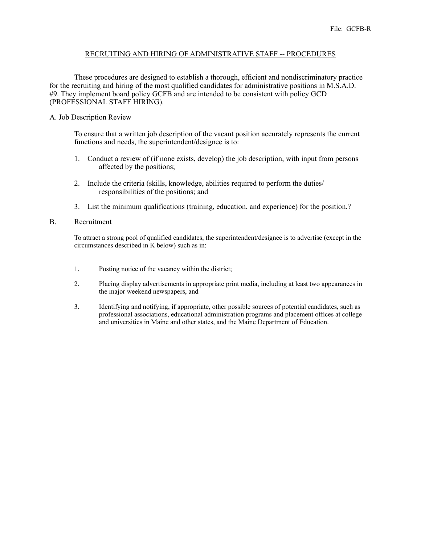## RECRUITING AND HIRING OF ADMINISTRATIVE STAFF -- PROCEDURES

These procedures are designed to establish a thorough, efficient and nondiscriminatory practice for the recruiting and hiring of the most qualified candidates for administrative positions in M.S.A.D. #9. They implement board policy GCFB and are intended to be consistent with policy GCD (PROFESSIONAL STAFF HIRING).

# A. Job Description Review

To ensure that a written job description of the vacant position accurately represents the current functions and needs, the superintendent/designee is to:

- 1. Conduct a review of (if none exists, develop) the job description, with input from persons affected by the positions;
- 2. Include the criteria (skills, knowledge, abilities required to perform the duties/ responsibilities of the positions; and
- 3. List the minimum qualifications (training, education, and experience) for the position.?

### B. Recruitment

To attract a strong pool of qualified candidates, the superintendent/designee is to advertise (except in the circumstances described in K below) such as in:

- 1. Posting notice of the vacancy within the district;
- 2. Placing display advertisements in appropriate print media, including at least two appearances in the major weekend newspapers, and
- 3. Identifying and notifying, if appropriate, other possible sources of potential candidates, such as professional associations, educational administration programs and placement offices at college and universities in Maine and other states, and the Maine Department of Education.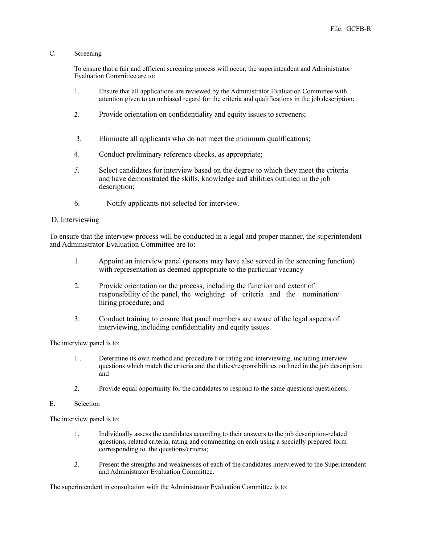# C. Screening

To ensure that a fair and efficient screening process will occur, the superintendent and Administrator Evaluation Committee are to:

- 1. Ensure that all applications are reviewed by the Administrator Evaluation Committee with attention given to an unbiased regard for the criteria and qualifications in the job description;
- 2. Provide orientation on confidentiality and equity issues to screeners;
- 3.Eliminate all applicants who do not meet the minimum qualifications;
- 4. Conduct preliminary reference checks, as appropriate;
- *5.* Select candidates for interview based on the degree to which they meet the criteria and have demonstrated the skills, knowledge and abilities outlined in the job description;
- 6. Notify applicants not selected for interview.

## D. Interviewing

To ensure that the interview process will be conducted in a legal and proper manner, the superintendent and Administrator Evaluation Committee are to:

- 1. Appoint an interview panel (persons may have also served in the screening function) with representation as deemed appropriate to the particular vacancy
- 2. Provide orientation on the process, including the function and extent of responsibility of the panel, the weighting of criteria and the nomination/ hiring procedure; and
- 3. Conduct training to ensure that panel members are aware of the legal aspects of interviewing, including confidentiality and equity issues.

The interview panel is to:

- 1 . Determine its own method and procedure f or rating and interviewing, including interview questions which match the criteria and the duties/responsibilities outlined in the job description; and
- 2. Provide equal opportunity for the candidates to respond to the same questions/questioners.

### E. Selection

The interview panel is to:

- 1. Individually assess the candidates according to their answers to the job description-related questions, related criteria, rating and commenting on each using a specially prepared form corresponding to the questions/criteria;
- 2. Present the strengths and weaknesses of each of the candidates interviewed to the Superintendent and Administrator Evaluation Committee.

The superintendent in consultation with the Administrator Evaluation Committee is to: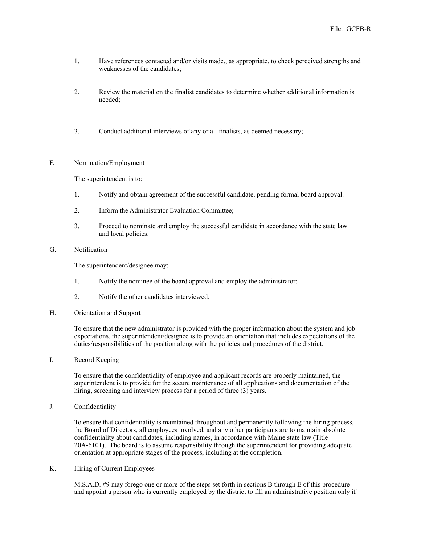- 1. Have references contacted and/or visits made,, as appropriate, to check perceived strengths and weaknesses of the candidates;
- 2. Review the material on the finalist candidates to determine whether additional information is needed;
- 3. Conduct additional interviews of any or all finalists, as deemed necessary;

### F. Nomination/Employment

The superintendent is to:

- 1. Notify and obtain agreement of the successful candidate, pending formal board approval.
- 2. Inform the Administrator Evaluation Committee;
- 3. Proceed to nominate and employ the successful candidate in accordance with the state law and local policies.
- G. Notification

The superintendent/designee may:

- 1. Notify the nominee of the board approval and employ the administrator;
- 2. Notify the other candidates interviewed.
- H. Orientation and Support

To ensure that the new administrator is provided with the proper information about the system and job expectations, the superintendent/designee is to provide an orientation that includes expectations of the duties/responsibilities of the position along with the policies and procedures of the district.

I. Record Keeping

To ensure that the confidentiality of employee and applicant records are properly maintained, the superintendent is to provide for the secure maintenance of all applications and documentation of the hiring, screening and interview process for a period of three (3) years.

J. Confidentiality

To ensure that confidentiality is maintained throughout and permanently following the hiring process, the Board of Directors, all employees involved, and any other participants are to maintain absolute confidentiality about candidates, including names, in accordance with Maine state law (Title 20A-6101). The board is to assume responsibility through the superintendent for providing adequate orientation at appropriate stages of the process, including at the completion.

K. Hiring of Current Employees

M.S.A.D. #9 may forego one or more of the steps set forth in sections B through E of this procedure and appoint a person who is currently employed by the district to fill an administrative position only if